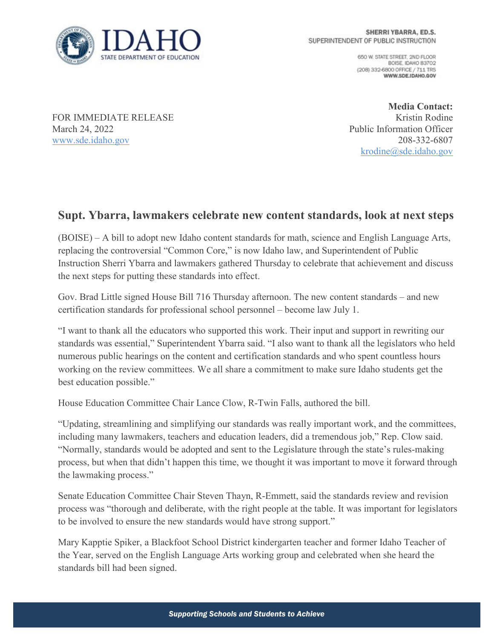

650 W. STATE STREET, 2ND FLOOR BOISE, IDAHO 83702 (208) 332-6800 OFFICE / 711 TRS WWW.SDE.IDAHO.GOV

FOR IMMEDIATE RELEASE March 24, 2022 [www.sde.idaho.gov](http://www.sde.idaho.gov/)

**Media Contact:** Kristin Rodine Public Information Officer 208-332-6807 [krodine@sde.idaho.gov](mailto:krodine@sde.idaho.gov)

## **Supt. Ybarra, lawmakers celebrate new content standards, look at next steps**

(BOISE) – A bill to adopt new Idaho content standards for math, science and English Language Arts, replacing the controversial "Common Core," is now Idaho law, and Superintendent of Public Instruction Sherri Ybarra and lawmakers gathered Thursday to celebrate that achievement and discuss the next steps for putting these standards into effect.

Gov. Brad Little signed House Bill 716 Thursday afternoon. The new content standards – and new certification standards for professional school personnel – become law July 1.

"I want to thank all the educators who supported this work. Their input and support in rewriting our standards was essential," Superintendent Ybarra said. "I also want to thank all the legislators who held numerous public hearings on the content and certification standards and who spent countless hours working on the review committees. We all share a commitment to make sure Idaho students get the best education possible."

House Education Committee Chair Lance Clow, R-Twin Falls, authored the bill.

"Updating, streamlining and simplifying our standards was really important work, and the committees, including many lawmakers, teachers and education leaders, did a tremendous job," Rep. Clow said. "Normally, standards would be adopted and sent to the Legislature through the state's rules-making process, but when that didn't happen this time, we thought it was important to move it forward through the lawmaking process."

Senate Education Committee Chair Steven Thayn, R-Emmett, said the standards review and revision process was "thorough and deliberate, with the right people at the table. It was important for legislators to be involved to ensure the new standards would have strong support."

Mary Kapptie Spiker, a Blackfoot School District kindergarten teacher and former Idaho Teacher of the Year, served on the English Language Arts working group and celebrated when she heard the standards bill had been signed.